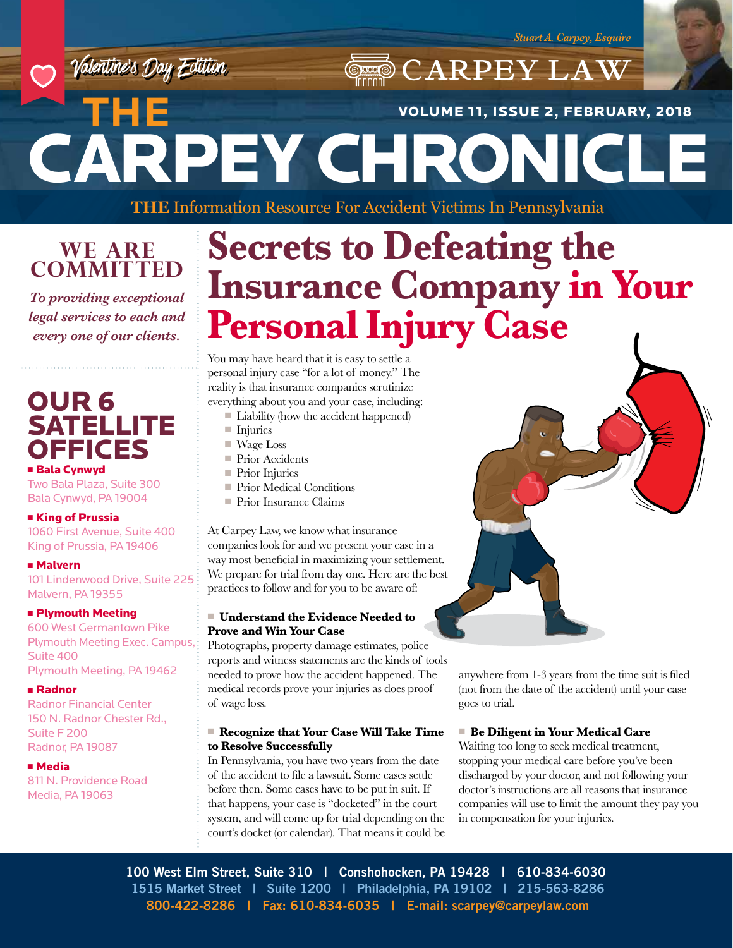

# CARPEY CHRONICLE **THE**  VOLUME 11, ISSUE 2, FEBRUARY, 2018

**THE** Information Resource For Accident Victims In Pennsylvania

## **WE ARE COMMITTED**

*To providing exceptional legal services to each and every one of our clients.*

## OUR 6 **SATELLITE** OFFICES

Two Bala Plaza, Suite 300

## Bala Cynwyd, PA 19004

■ King of Prussia 1060 First Avenue, Suite 400 King of Prussia, PA 19406

## <sup>n</sup> Malvern

101 Lindenwood Drive, Suite 225 Malvern, PA 19355

## **n** Plymouth Meeting

600 West Germantown Pike Plymouth Meeting Exec. Campus, Suite 400 Plymouth Meeting, PA 19462

### <sup>n</sup> Radnor

Radnor Financial Center 150 N. Radnor Chester Rd., Suite F 200 Radnor, PA 19087

### <sup>n</sup> Media

811 N. Providence Road Media, PA 19063

# **Secrets to Defeating the Insurance Company in Your Personal Injury Case**

**CARPEY LAW** 

You may have heard that it is easy to settle a personal injury case "for a lot of money." The reality is that insurance companies scrutinize everything about you and your case, including:

- $\blacksquare$  Liability (how the accident happened)
- $\blacksquare$  Injuries
- Wage Loss
- Prior Accidents
- $\blacksquare$  Prior Injuries
- Prior Medical Conditions
- Prior Insurance Claims

At Carpey Law, we know what insurance companies look for and we present your case in a way most beneficial in maximizing your settlement. We prepare for trial from day one. Here are the best practices to follow and for you to be aware of:

### <sup>n</sup> **Understand the Evidence Needed to Prove and Win Your Case**

Photographs, property damage estimates, police reports and witness statements are the kinds of tools needed to prove how the accident happened. The medical records prove your injuries as does proof of wage loss.

### ■ Recognize that Your Case Will Take Time **to Resolve Successfully**

In Pennsylvania, you have two years from the date of the accident to file a lawsuit. Some cases settle before then. Some cases have to be put in suit. If that happens, your case is "docketed" in the court system, and will come up for trial depending on the court's docket (or calendar). That means it could be



anywhere from 1-3 years from the time suit is filed (not from the date of the accident) until your case goes to trial.

## ■ Be Diligent in Your Medical Care

Waiting too long to seek medical treatment, stopping your medical care before you've been discharged by your doctor, and not following your doctor's instructions are all reasons that insurance companies will use to limit the amount they pay you in compensation for your injuries.

**100 West Elm Street, Suite 310 | Conshohocken, PA 19428 | 610-834-6030 1515 Market Street | Suite 1200 | Philadelphia, PA 19102 | 215-563-8286 800-422-8286 | Fax: 610-834-6035 | E-mail: scarpey@carpeylaw.com**

## ■ Bala Cynwyd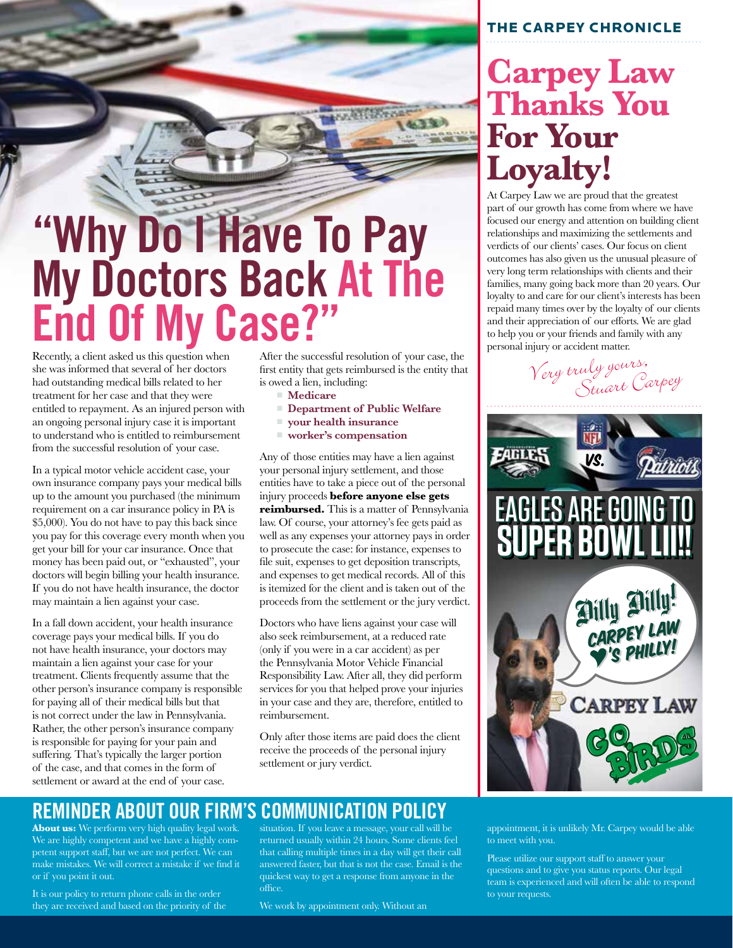

# **My Doctors Back At The End Of My Case?"**

Recently, a client asked us this question when she was informed that several of her doctors had outstanding medical bills related to her treatment for her case and that they were entitled to repayment. As an injured person with an ongoing personal injury case it is important to understand who is entitled to reimbursement from the successful resolution of your case.

In a typical motor vehicle accident case, your own insurance company pays your medical bills up to the amount you purchased (the minimum requirement on a car insurance policy in PA is \$5,000). You do not have to pay this back since you pay for this coverage every month when you get your bill for your car insurance. Once that money has been paid out, or "exhausted", your doctors will begin billing your health insurance. If you do not have health insurance, the doctor may maintain a lien against your case.

In a fall down accident, your health insurance coverage pays your medical bills. If you do not have health insurance, your doctors may maintain a lien against your case for your treatment. Clients frequently assume that the other person's insurance company is responsible for paying all of their medical bills but that is not correct under the law in Pennsylvania. Rather, the other person's insurance company is responsible for paying for your pain and suffering. That's typically the larger portion of the case, and that comes in the form of settlement or award at the end of your case.

After the successful resolution of your case, the first entity that gets reimbursed is the entity that is owed a lien, including:

- Medicare
- <sup>n</sup> **Department of Public Welfare**
- <sup>n</sup> **your health insurance**
- <sup>n</sup> **worker's compensation**

Any of those entities may have a lien against your personal injury settlement, and those entities have to take a piece out of the personal injury proceeds **before anyone else gets reimbursed.** This is a matter of Pennsylvania law. Of course, your attorney's fee gets paid as well as any expenses your attorney pays in order to prosecute the case: for instance, expenses to file suit, expenses to get deposition transcripts, and expenses to get medical records. All of this is itemized for the client and is taken out of the proceeds from the settlement or the jury verdict.

Doctors who have liens against your case will also seek reimbursement, at a reduced rate (only if you were in a car accident) as per the Pennsylvania Motor Vehicle Financial Responsibility Law. After all, they did perform services for you that helped prove your injuries in your case and they are, therefore, entitled to reimbursement.

Only after those items are paid does the client receive the proceeds of the personal injury settlement or jury verdict.

## **REMINDER ABOUT OUR FIRM'S COMMUNICATION POLICY**

**About us:** We perform very high quality legal work. We are highly competent and we have a highly competent support staff, but we are not perfect. We can make mistakes. We will correct a mistake if we find it or if you point it out.

It is our policy to return phone calls in the order they are received and based on the priority of the situation. If you leave a message, your call will be returned usually within 24 hours. Some clients feel that calling multiple times in a day will get their call answered faster, but that is not the case. Email is the quickest way to get a response from anyone in the office.

We work by appointment only. Without an

## THE CARPEY CHRONICLE

# **Carpey Law Thanks You For Your Loyalty!**

At Carpey Law we are proud that the greatest part of our growth has come from where we have focused our energy and attention on building client relationships and maximizing the settlements and verdicts of our clients' cases. Our focus on client outcomes has also given us the unusual pleasure of very long term relationships with clients and their families, many going back more than 20 years. Our loyalty to and care for our client's interests has been repaid many times over by the loyalty of our clients and their appreciation of our efforts. We are glad to help you or your friends and family with any personal injury or accident matter.

Very truly yours,<br>Stuart Carpey



appointment, it is unlikely Mr. Carpey would be able to meet with you.

Please utilize our support staff to answer your questions and to give you status reports. Our legal team is experienced and will often be able to respond to your requests.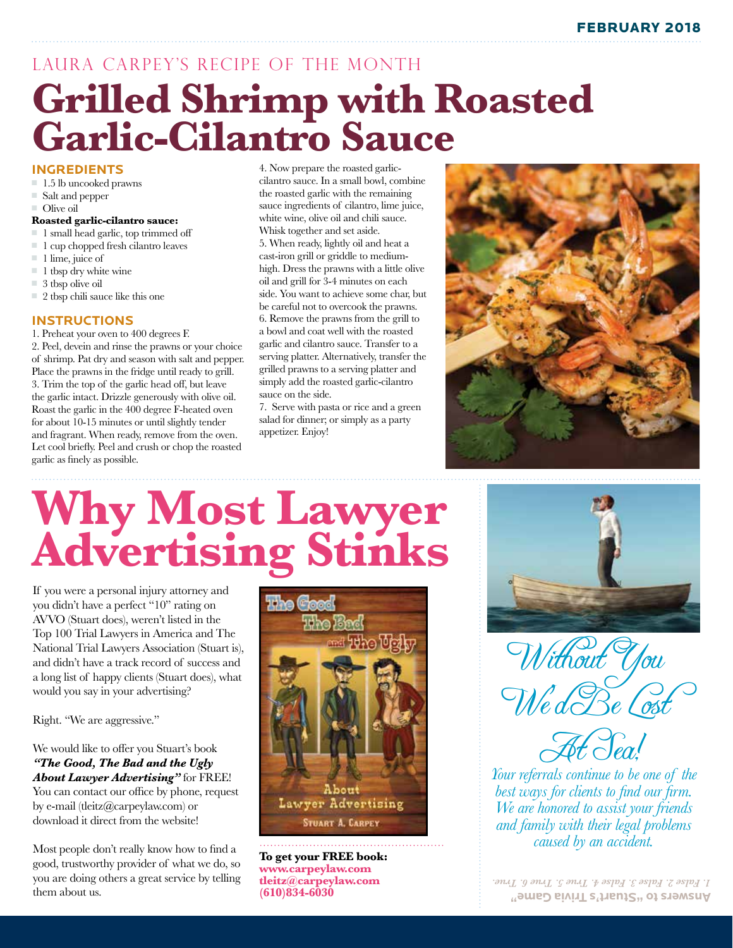# **Grilled Shrimp with Roasted Garlic-Cilantro Sauce** LAURA CARPEY'S RECIPE OF THE MONTH

### **INGREDIENTS**

- $\blacksquare$  1.5 lb uncooked prawns
- Salt and pepper
- $\Box$  Olive oil

### **Roasted garlic-cilantro sauce:**

- $\blacksquare$  1 small head garlic, top trimmed off
- $\blacksquare$  1 cup chopped fresh cilantro leaves
- $\blacksquare$  1 lime, juice of
- $\blacksquare$  1 tbsp dry white wine
- $\equiv$  3 tbsp olive oil
- $\Box$  2 tbsp chili sauce like this one

## **INSTRUCTIONS**

1. Preheat your oven to 400 degrees F. 2. Peel, devein and rinse the prawns or your choice of shrimp. Pat dry and season with salt and pepper. Place the prawns in the fridge until ready to grill. 3. Trim the top of the garlic head off, but leave the garlic intact. Drizzle generously with olive oil. Roast the garlic in the 400 degree F-heated oven for about 10-15 minutes or until slightly tender and fragrant. When ready, remove from the oven. Let cool briefly. Peel and crush or chop the roasted garlic as finely as possible.

4. Now prepare the roasted garliccilantro sauce. In a small bowl, combine the roasted garlic with the remaining sauce ingredients of cilantro, lime juice, white wine, olive oil and chili sauce. Whisk together and set aside. 5. When ready, lightly oil and heat a cast-iron grill or griddle to mediumhigh. Dress the prawns with a little olive oil and grill for 3-4 minutes on each side. You want to achieve some char, but be careful not to overcook the prawns. 6. Remove the prawns from the grill to a bowl and coat well with the roasted garlic and cilantro sauce. Transfer to a serving platter. Alternatively, transfer the grilled prawns to a serving platter and simply add the roasted garlic-cilantro sauce on the side.

7. Serve with pasta or rice and a green salad for dinner; or simply as a party appetizer. Enjoy!



# **Why Most Lawyer Advertising Stinks**

If you were a personal injury attorney and you didn't have a perfect "10" rating on AVVO (Stuart does), weren't listed in the Top 100 Trial Lawyers in America and The National Trial Lawyers Association (Stuart is), and didn't have a track record of success and a long list of happy clients (Stuart does), what would you say in your advertising?

Right. "We are aggressive."

We would like to offer you Stuart's book *"The Good, The Bad and the Ugly About Lawyer Advertising"* for FREE!

You can contact our office by phone, request by e-mail (tleitz@carpeylaw.com) or download it direct from the website!

Most people don't really know how to find a good, trustworthy provider of what we do, so you are doing others a great service by telling them about us.



**To get your FREE book: www.carpeylaw.com tleitz@carpeylaw.com (610)834-6030**



Without You We'd Be Lost

At Sea!

*Your referrals continue to be one of the best ways for clients to find our firm. We are honored to assist your friends and family with their legal problems caused by an accident.*

**Answers to "Stuart's Trivia Game"** *1. False 2. False 3. False 4. True 5. True 6. True.*